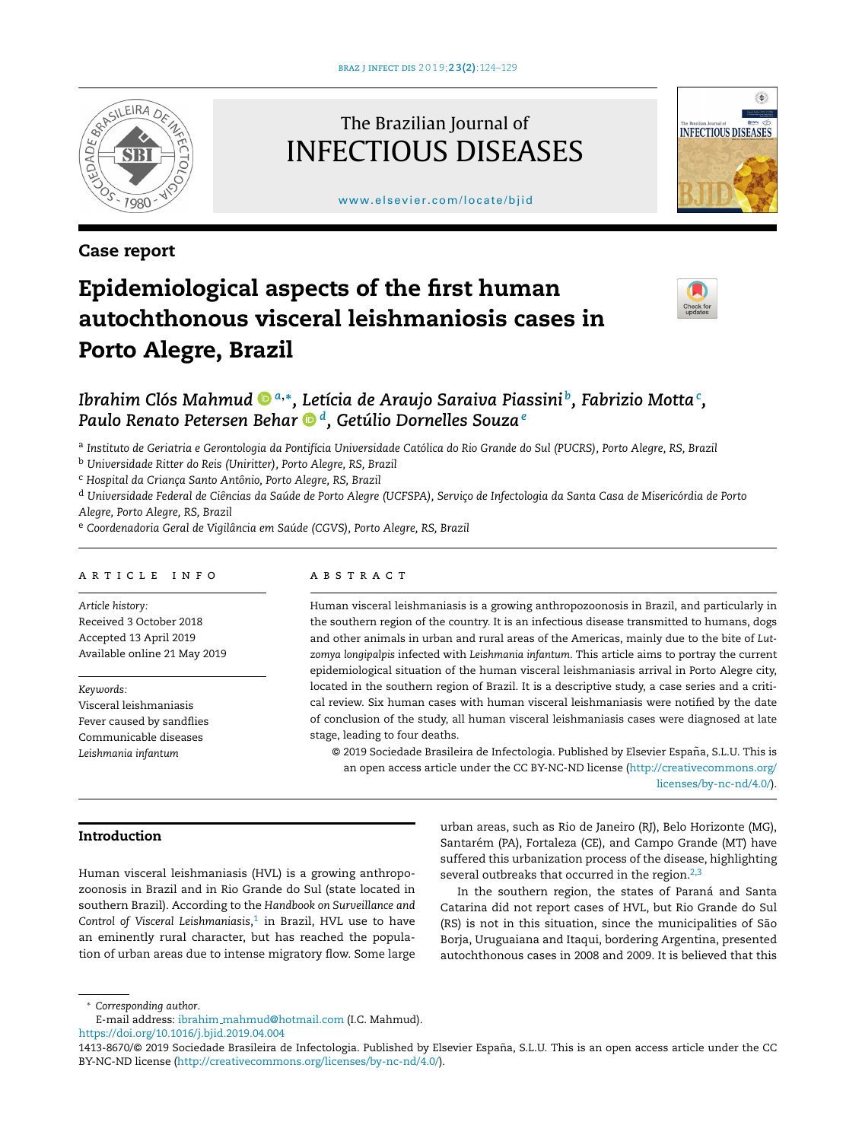

# Case report

# The Brazilian Journal of INFECTIOUS DISEASES

[www.elsevier.com/locate/bjid](http://www.elsevier.com/locate/bjid)



# Epidemiological aspects of the first human autochthonous visceral leishmaniosis cases in Porto Alegre, Brazil



# *Ibrahim Clós Mahmu[d](https://orcid.org/0000-0002-2631-2964) <sup>a</sup>*,<sup>∗</sup> *, Letícia de Araujo Saraiva Piassini <sup>b</sup> , Fabrizio Motta<sup>c</sup> , Paulo Renato Petersen Beha[r](https://orcid.org/0000-0001-8382-6681) <sup>d</sup> , Getúlio Dornelles Souza<sup>e</sup>*

<sup>a</sup> Instituto de Geriatria e Gerontologia da Pontifícia Universidade Católica do Rio Grande do Sul (PUCRS), Porto Alegre, RS, Brazil

<sup>b</sup> *Universidade Ritter do Reis (Uniritter), Porto Alegre, RS, Brazil*

<sup>c</sup> *Hospital da Crianc¸a Santo Antônio, Porto Alegre, RS, Brazil*

<sup>d</sup> Universidade Federal de Ciências da Saúde de Porto Alegre (UCFSPA), Serviço de Infectologia da Santa Casa de Misericórdia de Porto *Alegre, Porto Alegre, RS, Brazil*

<sup>e</sup> *Coordenadoria Geral de Vigilância em Saúde (CGVS), Porto Alegre, RS, Brazil*

#### ARTICLE INFO

*Article history:* Received 3 October 2018 Accepted 13 April 2019 Available online 21 May 2019

*Keywords:* Visceral leishmaniasis Fever caused by sandflies Communicable diseases *Leishmania infantum*

#### A B S T R A C T

Human visceral leishmaniasis is a growing anthropozoonosis in Brazil, and particularly in the southern region of the country. It is an infectious disease transmitted to humans, dogs and other animals in urban and rural areas of the Americas, mainly due to the bite of *Lutzomya longipalpis* infected with *Leishmania infantum*. This article aims to portray the current epidemiological situation of the human visceral leishmaniasis arrival in Porto Alegre city, located in the southern region of Brazil. It is a descriptive study, a case series and a critical review. Six human cases with human visceral leishmaniasis were notified by the date of conclusion of the study, all human visceral leishmaniasis cases were diagnosed at late stage, leading to four deaths.

© 2019 Sociedade Brasileira de Infectologia. Published by Elsevier España, S.L.U. This is an open access article under the CC BY-NC-ND license ([http://creativecommons.org/](http://creativecommons.org/licenses/by-nc-nd/4.0/) [licenses/by-nc-nd/4.0/](http://creativecommons.org/licenses/by-nc-nd/4.0/)).

# Introduction

Human visceral leishmaniasis (HVL) is a growing anthropozoonosis in Brazil and in Rio Grande do Sul (state located in southern Brazil). According to the *Handbook on Surveillance and Control of Visceral Leishmaniasis*, [1](#page-4-0) in Brazil, HVL use to have an eminently rural character, but has reached the population of urban areas due to intense migratory flow. Some large

urban areas, such as Rio de Janeiro (RJ), Belo Horizonte (MG), Santarém (PA), Fortaleza (CE), and Campo Grande (MT) have suffered this urbanization process of the disease, highlighting several outbreaks that occurred in the region. $2,3$ 

In the southern region, the states of Paraná and Santa Catarina did not report cases of HVL, but Rio Grande do Sul (RS) is not in this situation, since the municipalities of São Borja, Uruguaiana and Itaqui, bordering Argentina, presented autochthonous cases in 2008 and 2009. It is believed that this

<sup>∗</sup> *Corresponding author*.

E-mail address: ibrahim [mahmud@hotmail.com](mailto:ibrahim_mahmud@hotmail.com) (I.C. Mahmud).

<https://doi.org/10.1016/j.bjid.2019.04.004>

<sup>1413-8670/© 2019</sup> Sociedade Brasileira de Infectologia. Published by Elsevier España, S.L.U. This is an open access article under the CC BY-NC-ND license [\(http://creativecommons.org/licenses/by-nc-nd/4.0/](http://creativecommons.org/licenses/by-nc-nd/4.0/)).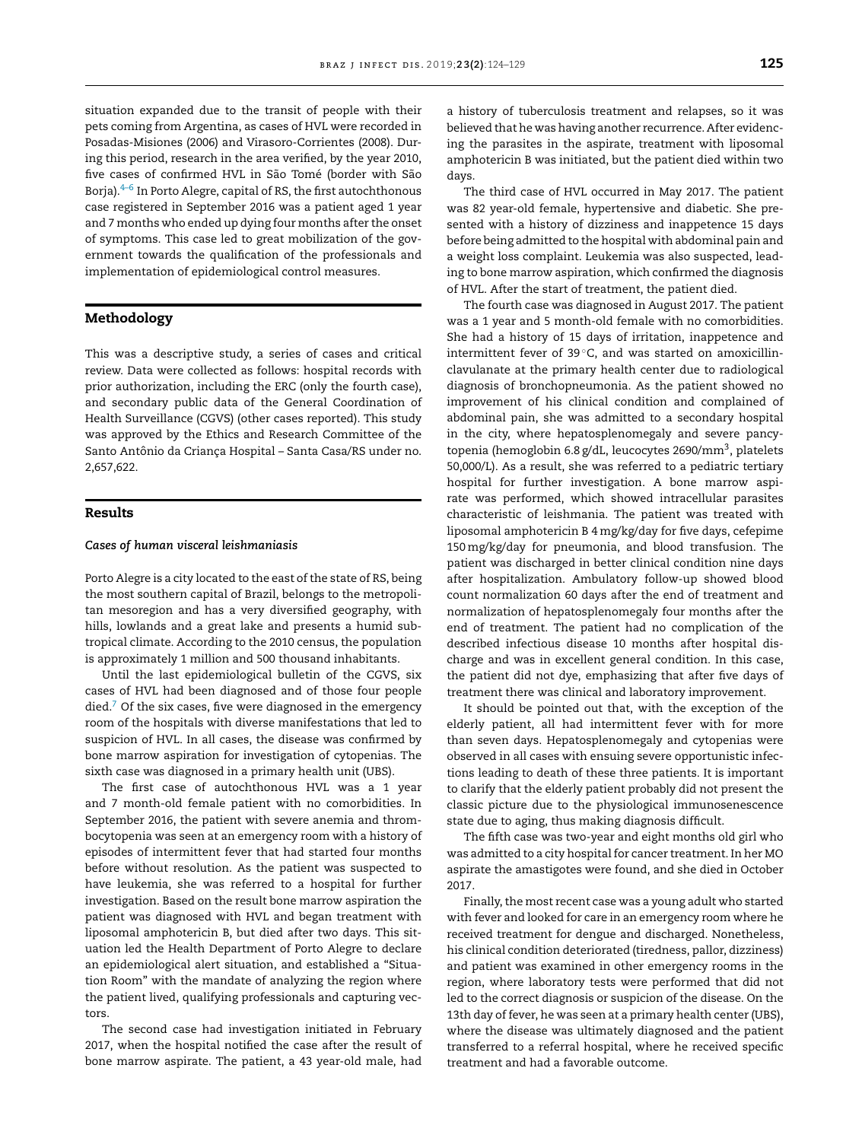situation expanded due to the transit of people with their pets coming from Argentina, as cases of HVL were recorded in Posadas-Misiones (2006) and Virasoro-Corrientes (2008). During this period, research in the area verified, by the year 2010, five cases of confirmed HVL in São Tomé (border with São Borja). $4-6$  In Porto Alegre, capital of RS, the first autochthonous case registered in September 2016 was a patient aged 1 year and 7 months who ended up dying four months after the onset of symptoms. This case led to great mobilization of the government towards the qualification of the professionals and implementation of epidemiological control measures.

## Methodology

This was a descriptive study, a series of cases and critical review. Data were collected as follows: hospital records with prior authorization, including the ERC (only the fourth case), and secondary public data of the General Coordination of Health Surveillance (CGVS) (other cases reported). This study was approved by the Ethics and Research Committee of the Santo Antônio da Criança Hospital – Santa Casa/RS under no. 2,657,622.

### Results

#### *Cases of human visceral leishmaniasis*

Porto Alegre is a city located to the east of the state of RS, being the most southern capital of Brazil, belongs to the metropolitan mesoregion and has a very diversified geography, with hills, lowlands and a great lake and presents a humid subtropical climate. According to the 2010 census, the population is approximately 1 million and 500 thousand inhabitants.

Until the last epidemiological bulletin of the CGVS, six cases of HVL had been diagnosed and of those four people  $\text{died.}^7$  $\text{died.}^7$  Of the six cases, five were diagnosed in the emergency room of the hospitals with diverse manifestations that led to suspicion of HVL. In all cases, the disease was confirmed by bone marrow aspiration for investigation of cytopenias. The sixth case was diagnosed in a primary health unit (UBS).

The first case of autochthonous HVL was a 1 year and 7 month-old female patient with no comorbidities. In September 2016, the patient with severe anemia and thrombocytopenia was seen at an emergency room with a history of episodes of intermittent fever that had started four months before without resolution. As the patient was suspected to have leukemia, she was referred to a hospital for further investigation. Based on the result bone marrow aspiration the patient was diagnosed with HVL and began treatment with liposomal amphotericin B, but died after two days. This situation led the Health Department of Porto Alegre to declare an epidemiological alert situation, and established a "Situation Room" with the mandate of analyzing the region where the patient lived, qualifying professionals and capturing vectors.

The second case had investigation initiated in February 2017, when the hospital notified the case after the result of bone marrow aspirate. The patient, a 43 year-old male, had

a history of tuberculosis treatment and relapses, so it was believed that he was having another recurrence. After evidencing the parasites in the aspirate, treatment with liposomal amphotericin B was initiated, but the patient died within two days.

The third case of HVL occurred in May 2017. The patient was 82 year-old female, hypertensive and diabetic. She presented with a history of dizziness and inappetence 15 days before being admitted to the hospital with abdominal pain and a weight loss complaint. Leukemia was also suspected, leading to bone marrow aspiration, which confirmed the diagnosis of HVL. After the start of treatment, the patient died.

The fourth case was diagnosed in August 2017. The patient was a 1 year and 5 month-old female with no comorbidities. She had a history of 15 days of irritation, inappetence and intermittent fever of 39 °C, and was started on amoxicillinclavulanate at the primary health center due to radiological diagnosis of bronchopneumonia. As the patient showed no improvement of his clinical condition and complained of abdominal pain, she was admitted to a secondary hospital in the city, where hepatosplenomegaly and severe pancytopenia (hemoglobin 6.8 g/dL, leucocytes 2690/mm<sup>3</sup>, platelets 50,000/L). As a result, she was referred to a pediatric tertiary hospital for further investigation. A bone marrow aspirate was performed, which showed intracellular parasites characteristic of leishmania. The patient was treated with liposomal amphotericin B 4 mg/kg/day for five days, cefepime 150mg/kg/day for pneumonia, and blood transfusion. The patient was discharged in better clinical condition nine days after hospitalization. Ambulatory follow-up showed blood count normalization 60 days after the end of treatment and normalization of hepatosplenomegaly four months after the end of treatment. The patient had no complication of the described infectious disease 10 months after hospital discharge and was in excellent general condition. In this case, the patient did not dye, emphasizing that after five days of treatment there was clinical and laboratory improvement.

It should be pointed out that, with the exception of the elderly patient, all had intermittent fever with for more than seven days. Hepatosplenomegaly and cytopenias were observed in all cases with ensuing severe opportunistic infections leading to death of these three patients. It is important to clarify that the elderly patient probably did not present the classic picture due to the physiological immunosenescence state due to aging, thus making diagnosis difficult.

The fifth case was two-year and eight months old girl who was admitted to a city hospital for cancer treatment. In her MO aspirate the amastigotes were found, and she died in October 2017.

Finally, the most recent case was a young adult who started with fever and looked for care in an emergency room where he received treatment for dengue and discharged. Nonetheless, his clinical condition deteriorated (tiredness, pallor, dizziness) and patient was examined in other emergency rooms in the region, where laboratory tests were performed that did not led to the correct diagnosis or suspicion of the disease. On the 13th day of fever, he was seen at a primary health center (UBS), where the disease was ultimately diagnosed and the patient transferred to a referral hospital, where he received specific treatment and had a favorable outcome.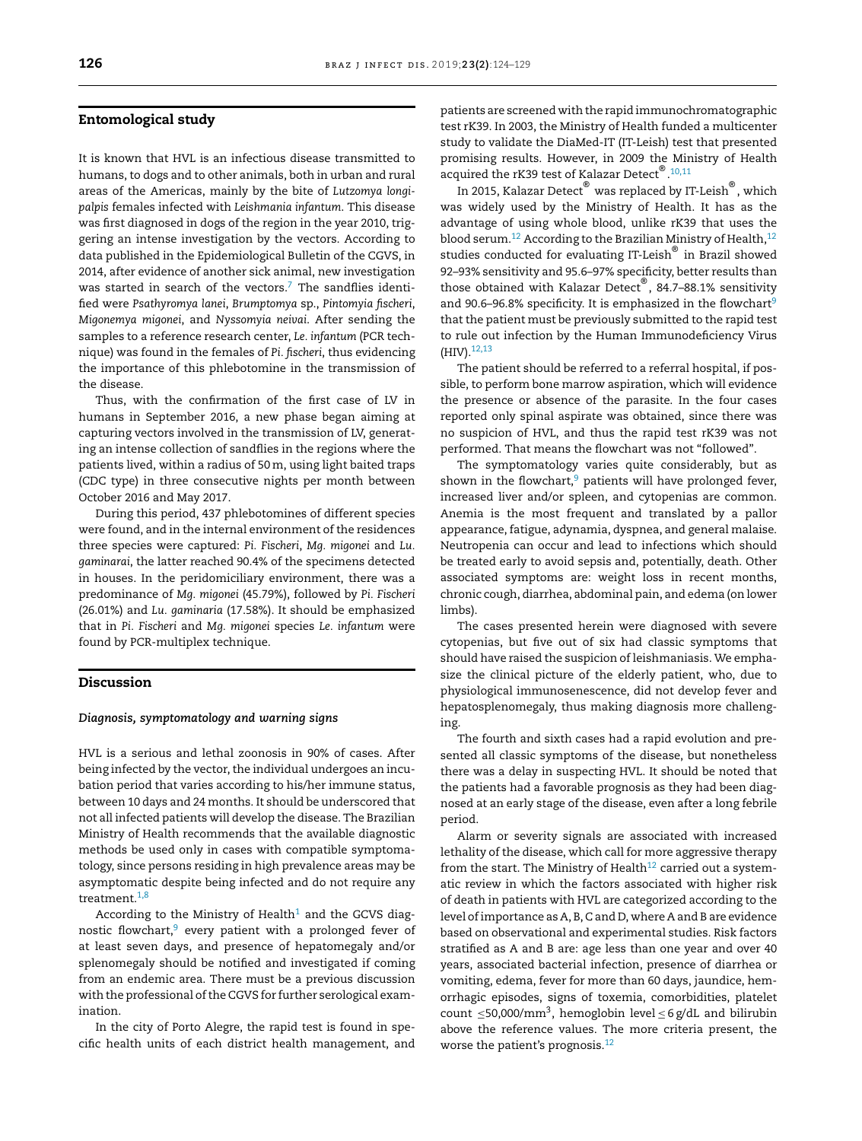#### Entomological study

It is known that HVL is an infectious disease transmitted to humans, to dogs and to other animals, both in urban and rural areas of the Americas, mainly by the bite of *Lutzomya longipalpis* females infected with *Leishmania infantum*. This disease was first diagnosed in dogs of the region in the year 2010, triggering an intense investigation by the vectors. According to data published in the Epidemiological Bulletin of the CGVS, in 2014, after evidence of another sick animal, new investigation was started in search of the vectors.<sup>[7](#page-4-0)</sup> The sandflies identified were *Psathyromya lanei*, *Brumptomya* sp., *Pintomyia fischeri*, *Migonemya migonei*, and *Nyssomyia neivai*. After sending the samples to a reference research center, *Le. infantum* (PCR technique) was found in the females of *Pi. fischeri*, thus evidencing the importance of this phlebotomine in the transmission of the disease.

Thus, with the confirmation of the first case of LV in humans in September 2016, a new phase began aiming at capturing vectors involved in the transmission of LV, generating an intense collection of sandflies in the regions where the patients lived, within a radius of 50m, using light baited traps (CDC type) in three consecutive nights per month between October 2016 and May 2017.

During this period, 437 phlebotomines of different species were found, and in the internal environment of the residences three species were captured: *Pi. Fischeri*, *Mg. migonei* and *Lu. gaminarai*, the latter reached 90.4% of the specimens detected in houses. In the peridomiciliary environment, there was a predominance of *Mg. migonei* (45.79%), followed by *Pi. Fischeri* (26.01%) and *Lu. gaminaria* (17.58%). It should be emphasized that in *Pi. Fischeri* and *Mg. migonei* species *Le. infantum* were found by PCR-multiplex technique.

#### Discussion

#### *Diagnosis, symptomatology and warning signs*

HVL is a serious and lethal zoonosis in 90% of cases. After being infected by the vector, the individual undergoes an incubation period that varies according to his/her immune status, between 10 days and 24 months. It should be underscored that not all infected patients will develop the disease. The Brazilian Ministry of Health recommends that the available diagnostic methods be used only in cases with compatible symptomatology, since persons residing in high prevalence areas may be asymptomatic despite being infected and do not require any treatment.[1,8](#page-4-0)

According to the Ministry of Health<sup>[1](#page-4-0)</sup> and the GCVS diagnostic flowchart, $9$  every patient with a prolonged fever of at least seven days, and presence of hepatomegaly and/or splenomegaly should be notified and investigated if coming from an endemic area. There must be a previous discussion with the professional of the CGVS for further serological examination.

In the city of Porto Alegre, the rapid test is found in specific health units of each district health management, and patients are screened with the rapid immunochromatographic test rK39. In 2003, the Ministry of Health funded a multicenter study to validate the DiaMed-IT (IT-Leish) test that presented promising results. However, in 2009 the Ministry of Health acquired the rK39 test of Kalazar Detect  $^{\circledR}$  .<sup>[10,11](#page-5-0)</sup>

In 2015, Kalazar Detect $^\circ$  was replaced by IT-Leish $^\circ$ , which was widely used by the Ministry of Health. It has as the advantage of using whole blood, unlike rK39 that uses the blood serum.<sup>[12](#page-5-0)</sup> According to the Brazilian Ministry of Health, $12$ studies conducted for evaluating IT-Leish® in Brazil showed 92–93% sensitivity and 95.6–97% specificity, better results than those obtained with Kalazar Detect $^\circ$ , 84.7–88.1% sensitivity and [9](#page-5-0)0.6–96.8% specificity. It is emphasized in the flowchart<sup>9</sup> that the patient must be previously submitted to the rapid test to rule out infection by the Human Immunodeficiency Virus  $(HIV).<sup>12,13</sup>$  $(HIV).<sup>12,13</sup>$  $(HIV).<sup>12,13</sup>$ 

The patient should be referred to a referral hospital, if possible, to perform bone marrow aspiration, which will evidence the presence or absence of the parasite. In the four cases reported only spinal aspirate was obtained, since there was no suspicion of HVL, and thus the rapid test rK39 was not performed. That means the flowchart was not "followed".

The symptomatology varies quite considerably, but as shown in the flowchart, $9$  patients will have prolonged fever, increased liver and/or spleen, and cytopenias are common. Anemia is the most frequent and translated by a pallor appearance, fatigue, adynamia, dyspnea, and general malaise. Neutropenia can occur and lead to infections which should be treated early to avoid sepsis and, potentially, death. Other associated symptoms are: weight loss in recent months, chronic cough, diarrhea, abdominal pain, and edema (on lower limbs).

The cases presented herein were diagnosed with severe cytopenias, but five out of six had classic symptoms that should have raised the suspicion of leishmaniasis. We emphasize the clinical picture of the elderly patient, who, due to physiological immunosenescence, did not develop fever and hepatosplenomegaly, thus making diagnosis more challenging.

The fourth and sixth cases had a rapid evolution and presented all classic symptoms of the disease, but nonetheless there was a delay in suspecting HVL. It should be noted that the patients had a favorable prognosis as they had been diagnosed at an early stage of the disease, even after a long febrile period.

Alarm or severity signals are associated with increased lethality of the disease, which call for more aggressive therapy from the start. The Ministry of Health<sup>[12](#page-5-0)</sup> carried out a systematic review in which the factors associated with higher risk of death in patients with HVL are categorized according to the level of importance as A, B, C and D, where A and B are evidence based on observational and experimental studies. Risk factors stratified as A and B are: age less than one year and over 40 years, associated bacterial infection, presence of diarrhea or vomiting, edema, fever for more than 60 days, jaundice, hemorrhagic episodes, signs of toxemia, comorbidities, platelet count  $\leq$ 50,000/mm<sup>3</sup>, hemoglobin level  $\leq$  6 g/dL and bilirubin above the reference values. The more criteria present, the worse the patient's prognosis.<sup>[12](#page-5-0)</sup>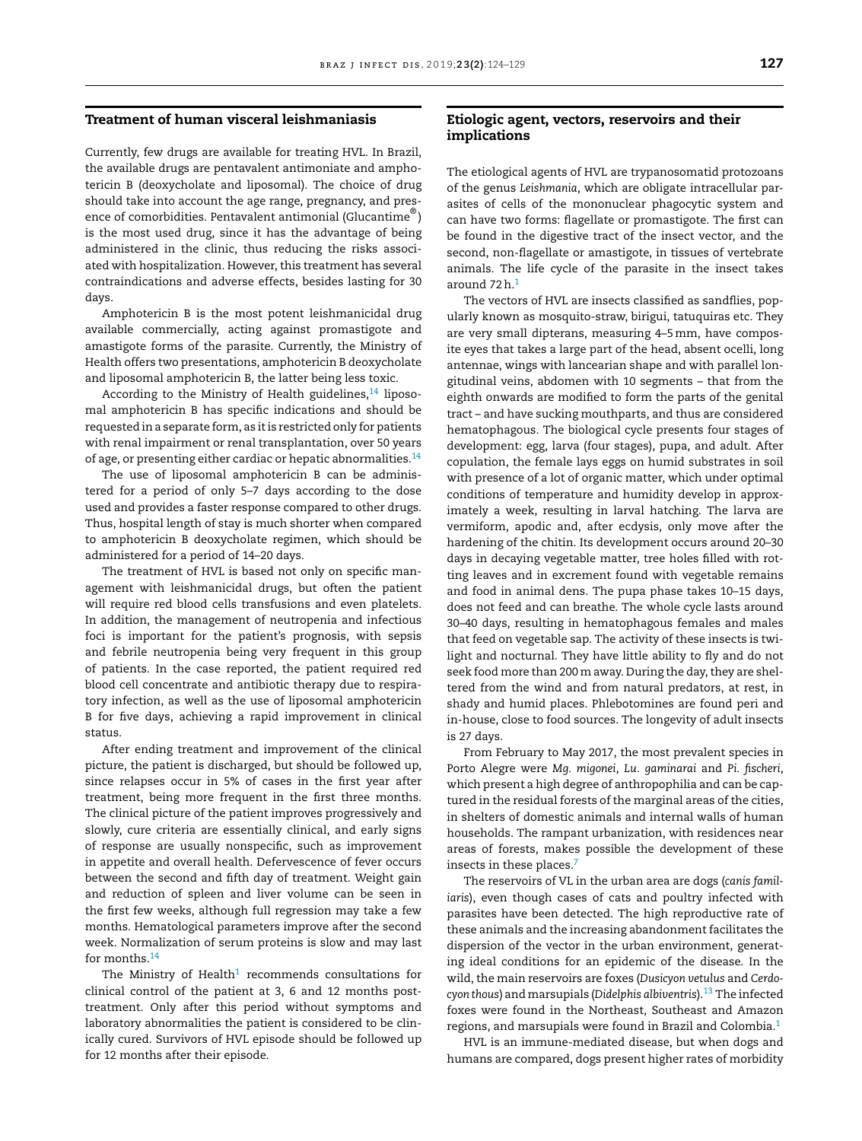#### Treatment of human visceral leishmaniasis

Currently, few drugs are available for treating HVL. In Brazil, the available drugs are pentavalent antimoniate and amphotericin B (deoxycholate and liposomal). The choice of drug should take into account the age range, pregnancy, and presence of comorbidities. Pentavalent antimonial (Glucantime $^\circledR)$ is the most used drug, since it has the advantage of being administered in the clinic, thus reducing the risks associated with hospitalization. However, this treatment has several contraindications and adverse effects, besides lasting for 30 days.

Amphotericin B is the most potent leishmanicidal drug available commercially, acting against promastigote and amastigote forms of the parasite. Currently, the Ministry of Health offers two presentations, amphotericin B deoxycholate and liposomal amphotericin B, the latter being less toxic.

According to the Ministry of Health guidelines, $14$  liposomal amphotericin B has specific indications and should be requested in a separate form, as it is restricted only for patients with renal impairment or renal transplantation, over 50 years of age, or presenting either cardiac or hepatic abnormalities.[14](#page-5-0)

The use of liposomal amphotericin B can be administered for a period of only 5–7 days according to the dose used and provides a faster response compared to other drugs. Thus, hospital length of stay is much shorter when compared to amphotericin B deoxycholate regimen, which should be administered for a period of 14–20 days.

The treatment of HVL is based not only on specific management with leishmanicidal drugs, but often the patient will require red blood cells transfusions and even platelets. In addition, the management of neutropenia and infectious foci is important for the patient's prognosis, with sepsis and febrile neutropenia being very frequent in this group of patients. In the case reported, the patient required red blood cell concentrate and antibiotic therapy due to respiratory infection, as well as the use of liposomal amphotericin B for five days, achieving a rapid improvement in clinical status.

After ending treatment and improvement of the clinical picture, the patient is discharged, but should be followed up, since relapses occur in 5% of cases in the first year after treatment, being more frequent in the first three months. The clinical picture of the patient improves progressively and slowly, cure criteria are essentially clinical, and early signs of response are usually nonspecific, such as improvement in appetite and overall health. Defervescence of fever occurs between the second and fifth day of treatment. Weight gain and reduction of spleen and liver volume can be seen in the first few weeks, although full regression may take a few months. Hematological parameters improve after the second week. Normalization of serum proteins is slow and may last for months.<sup>[14](#page-5-0)</sup>

The Ministry of Health $^1$  $^1$  recommends consultations for clinical control of the patient at 3, 6 and 12 months posttreatment. Only after this period without symptoms and laboratory abnormalities the patient is considered to be clinically cured. Survivors of HVL episode should be followed up for 12 months after their episode.

## Etiologic agent, vectors, reservoirs and their implications

The etiological agents of HVL are trypanosomatid protozoans of the genus *Leishmania*, which are obligate intracellular parasites of cells of the mononuclear phagocytic system and can have two forms: flagellate or promastigote. The first can be found in the digestive tract of the insect vector, and the second, non-flagellate or amastigote, in tissues of vertebrate animals. The life cycle of the parasite in the insect takes around 72h.[1](#page-4-0)

The vectors of HVL are insects classified as sandflies, popularly known as mosquito-straw, birigui, tatuquiras etc. They are very small dipterans, measuring 4–5mm, have composite eyes that takes a large part of the head, absent ocelli, long antennae, wings with lancearian shape and with parallel longitudinal veins, abdomen with 10 segments – that from the eighth onwards are modified to form the parts of the genital tract – and have sucking mouthparts, and thus are considered hematophagous. The biological cycle presents four stages of development: egg, larva (four stages), pupa, and adult. After copulation, the female lays eggs on humid substrates in soil with presence of a lot of organic matter, which under optimal conditions of temperature and humidity develop in approximately a week, resulting in larval hatching. The larva are vermiform, apodic and, after ecdysis, only move after the hardening of the chitin. Its development occurs around 20–30 days in decaying vegetable matter, tree holes filled with rotting leaves and in excrement found with vegetable remains and food in animal dens. The pupa phase takes 10–15 days, does not feed and can breathe. The whole cycle lasts around 30–40 days, resulting in hematophagous females and males that feed on vegetable sap. The activity of these insects is twilight and nocturnal. They have little ability to fly and do not seek food more than 200m away. During the day, they are sheltered from the wind and from natural predators, at rest, in shady and humid places. Phlebotomines are found peri and in-house, close to food sources. The longevity of adult insects is 27 days.

From February to May 2017, the most prevalent species in Porto Alegre were *Mg. migonei*, *Lu. gaminarai* and *Pi. fischeri*, which present a high degree of anthropophilia and can be captured in the residual forests of the marginal areas of the cities, in shelters of domestic animals and internal walls of human households. The rampant urbanization, with residences near areas of forests, makes possible the development of these insects in these places.<sup>[7](#page-4-0)</sup>

The reservoirs of VL in the urban area are dogs (*canis familiaris*), even though cases of cats and poultry infected with parasites have been detected. The high reproductive rate of these animals and the increasing abandonment facilitates the dispersion of the vector in the urban environment, generating ideal conditions for an epidemic of the disease. In the wild, the main reservoirs are foxes (*Dusicyon vetulus* and *Cerdocyon thous*) and marsupials (*Didelphis albiventris*).[13](#page-5-0) The infected foxes were found in the Northeast, Southeast and Amazon regions, and marsupials were found in Brazil and Colombia.[1](#page-4-0)

HVL is an immune-mediated disease, but when dogs and humans are compared, dogs present higher rates of morbidity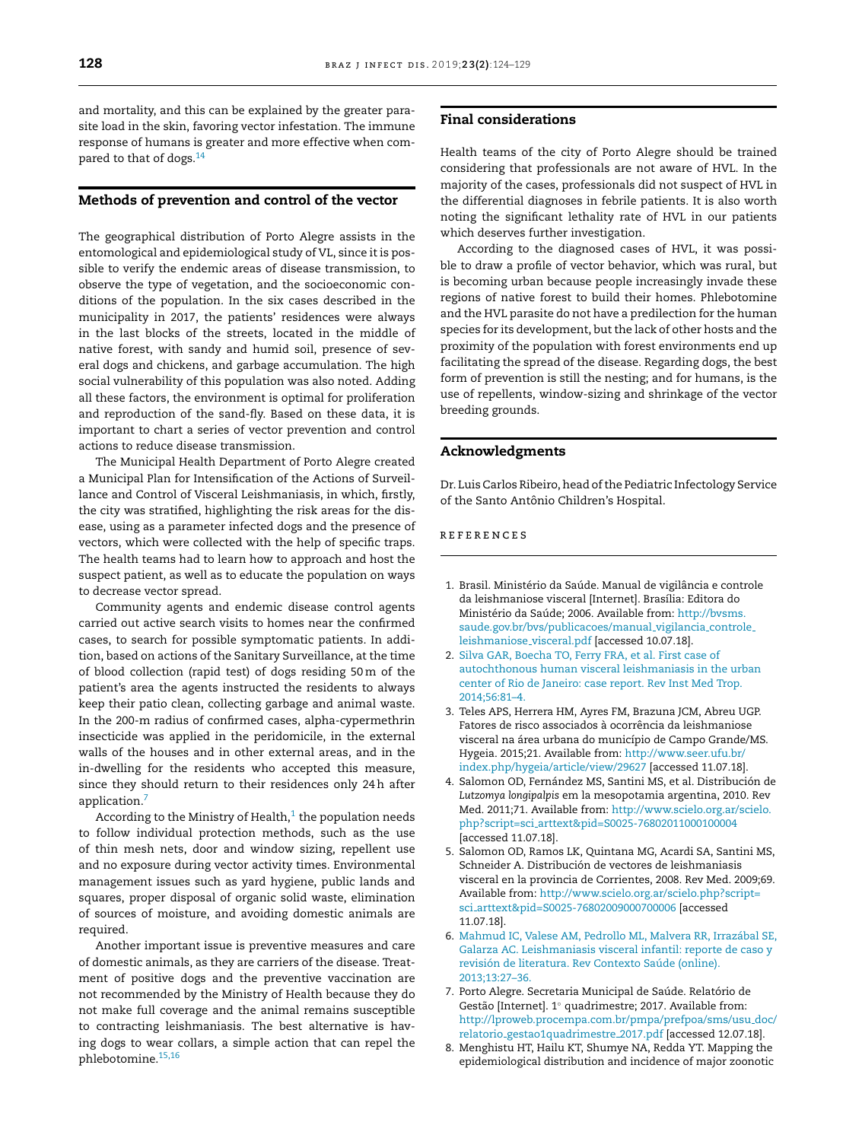<span id="page-4-0"></span>and mortality, and this can be explained by the greater parasite load in the skin, favoring vector infestation. The immune response of humans is greater and more effective when com-pared to that of dogs.<sup>[14](#page-5-0)</sup>

#### Methods of prevention and control of the vector

The geographical distribution of Porto Alegre assists in the entomological and epidemiological study of VL, since it is possible to verify the endemic areas of disease transmission, to observe the type of vegetation, and the socioeconomic conditions of the population. In the six cases described in the municipality in 2017, the patients' residences were always in the last blocks of the streets, located in the middle of native forest, with sandy and humid soil, presence of several dogs and chickens, and garbage accumulation. The high social vulnerability of this population was also noted. Adding all these factors, the environment is optimal for proliferation and reproduction of the sand-fly. Based on these data, it is important to chart a series of vector prevention and control actions to reduce disease transmission.

The Municipal Health Department of Porto Alegre created a Municipal Plan for Intensification of the Actions of Surveillance and Control of Visceral Leishmaniasis, in which, firstly, the city was stratified, highlighting the risk areas for the disease, using as a parameter infected dogs and the presence of vectors, which were collected with the help of specific traps. The health teams had to learn how to approach and host the suspect patient, as well as to educate the population on ways to decrease vector spread.

Community agents and endemic disease control agents carried out active search visits to homes near the confirmed cases, to search for possible symptomatic patients. In addition, based on actions of the Sanitary Surveillance, at the time of blood collection (rapid test) of dogs residing 50m of the patient's area the agents instructed the residents to always keep their patio clean, collecting garbage and animal waste. In the 200-m radius of confirmed cases, alpha-cypermethrin insecticide was applied in the peridomicile, in the external walls of the houses and in other external areas, and in the in-dwelling for the residents who accepted this measure, since they should return to their residences only 24h after application.<sup>7</sup>

According to the Ministry of Health, $^1$  the population needs to follow individual protection methods, such as the use of thin mesh nets, door and window sizing, repellent use and no exposure during vector activity times. Environmental management issues such as yard hygiene, public lands and squares, proper disposal of organic solid waste, elimination of sources of moisture, and avoiding domestic animals are required.

Another important issue is preventive measures and care of domestic animals, as they are carriers of the disease. Treatment of positive dogs and the preventive vaccination are not recommended by the Ministry of Health because they do not make full coverage and the animal remains susceptible to contracting leishmaniasis. The best alternative is having dogs to wear collars, a simple action that can repel the phlebotomine.[15,16](#page-5-0)

#### Final considerations

Health teams of the city of Porto Alegre should be trained considering that professionals are not aware of HVL. In the majority of the cases, professionals did not suspect of HVL in the differential diagnoses in febrile patients. It is also worth noting the significant lethality rate of HVL in our patients which deserves further investigation.

According to the diagnosed cases of HVL, it was possible to draw a profile of vector behavior, which was rural, but is becoming urban because people increasingly invade these regions of native forest to build their homes. Phlebotomine and the HVL parasite do not have a predilection for the human species for its development, but the lack of other hosts and the proximity of the population with forest environments end up facilitating the spread of the disease. Regarding dogs, the best form of prevention is still the nesting; and for humans, is the use of repellents, window-sizing and shrinkage of the vector breeding grounds.

## Acknowledgments

Dr. Luis Carlos Ribeiro, head of the Pediatric Infectology Service of the Santo Antônio Children's Hospital.

### r e f e r enc e s

- 1. Brasil. Ministério da Saúde. Manual de vigilância e controle da leishmaniose visceral [Internet]. Brasília: Editora do Ministério da Saúde; 2006. Available from: [http://bvsms.](http://bvsms.saude.gov.br/bvs/publicacoes/manual_vigilancia_controle_leishmaniose_visceral.pdf) [saude.gov.br/bvs/publicacoes/manual](http://bvsms.saude.gov.br/bvs/publicacoes/manual_vigilancia_controle_leishmaniose_visceral.pdf) vigilancia controle [leishmaniose](http://bvsms.saude.gov.br/bvs/publicacoes/manual_vigilancia_controle_leishmaniose_visceral.pdf) visceral.pdf [accessed 10.07.18].
- 2. [Silva](http://refhub.elsevier.com/S1413-8670(18)30650-0/sbref0090) [GAR,](http://refhub.elsevier.com/S1413-8670(18)30650-0/sbref0090) [Boecha](http://refhub.elsevier.com/S1413-8670(18)30650-0/sbref0090) [TO,](http://refhub.elsevier.com/S1413-8670(18)30650-0/sbref0090) [Ferry](http://refhub.elsevier.com/S1413-8670(18)30650-0/sbref0090) [FRA,](http://refhub.elsevier.com/S1413-8670(18)30650-0/sbref0090) [et](http://refhub.elsevier.com/S1413-8670(18)30650-0/sbref0090) [al.](http://refhub.elsevier.com/S1413-8670(18)30650-0/sbref0090) [First](http://refhub.elsevier.com/S1413-8670(18)30650-0/sbref0090) [case](http://refhub.elsevier.com/S1413-8670(18)30650-0/sbref0090) [of](http://refhub.elsevier.com/S1413-8670(18)30650-0/sbref0090) [autochthonous](http://refhub.elsevier.com/S1413-8670(18)30650-0/sbref0090) [human](http://refhub.elsevier.com/S1413-8670(18)30650-0/sbref0090) [visceral](http://refhub.elsevier.com/S1413-8670(18)30650-0/sbref0090) [leishmaniasis](http://refhub.elsevier.com/S1413-8670(18)30650-0/sbref0090) [in](http://refhub.elsevier.com/S1413-8670(18)30650-0/sbref0090) [the](http://refhub.elsevier.com/S1413-8670(18)30650-0/sbref0090) [urban](http://refhub.elsevier.com/S1413-8670(18)30650-0/sbref0090) [center](http://refhub.elsevier.com/S1413-8670(18)30650-0/sbref0090) [of](http://refhub.elsevier.com/S1413-8670(18)30650-0/sbref0090) [Rio](http://refhub.elsevier.com/S1413-8670(18)30650-0/sbref0090) [de](http://refhub.elsevier.com/S1413-8670(18)30650-0/sbref0090) [Janeiro:](http://refhub.elsevier.com/S1413-8670(18)30650-0/sbref0090) [case](http://refhub.elsevier.com/S1413-8670(18)30650-0/sbref0090) [report.](http://refhub.elsevier.com/S1413-8670(18)30650-0/sbref0090) [Rev](http://refhub.elsevier.com/S1413-8670(18)30650-0/sbref0090) [Inst](http://refhub.elsevier.com/S1413-8670(18)30650-0/sbref0090) [Med](http://refhub.elsevier.com/S1413-8670(18)30650-0/sbref0090) [Trop.](http://refhub.elsevier.com/S1413-8670(18)30650-0/sbref0090) [2014;56:81](http://refhub.elsevier.com/S1413-8670(18)30650-0/sbref0090)–[4.](http://refhub.elsevier.com/S1413-8670(18)30650-0/sbref0090)
- 3. Teles APS, Herrera HM, Ayres FM, Brazuna JCM, Abreu UGP. Fatores de risco associados à ocorrência da leishmaniose visceral na área urbana do município de Campo Grande/MS. Hygeia. 2015;21. Available from: [http://www.seer.ufu.br/](http://www.seer.ufu.br/index.php/hygeia/article/view/29627) [index.php/hygeia/article/view/29627](http://www.seer.ufu.br/index.php/hygeia/article/view/29627) [accessed 11.07.18].
- 4. Salomon OD, Fernández MS, Santini MS, et al. Distribución de *Lutzomya longipalpis* em la mesopotamia argentina, 2010. Rev Med. 2011;71. Available from: [http://www.scielo.org.ar/scielo.](http://www.scielo.org.ar/scielo.php?script=sci_arttext&pid=S0025-76802011000100004) php?script=sci [arttext&pid=S0025-76802011000100004](http://www.scielo.org.ar/scielo.php?script=sci_arttext&pid=S0025-76802011000100004) [accessed 11.07.18].
- 5. Salomon OD, Ramos LK, Quintana MG, Acardi SA, Santini MS, Schneider A. Distribución de vectores de leishmaniasis visceral en la provincia de Corrientes, 2008. Rev Med. 2009;69. Available from: [http://www.scielo.org.ar/scielo.php?script=](http://www.scielo.org.ar/scielo.php?script=sci_arttext&pid=S0025-76802009000700006) sci [arttext&pid=S0025-76802009000700006](http://www.scielo.org.ar/scielo.php?script=sci_arttext&pid=S0025-76802009000700006) [accessed 11.07.18].
- 6. [Mahmud](http://refhub.elsevier.com/S1413-8670(18)30650-0/sbref0110) [IC,](http://refhub.elsevier.com/S1413-8670(18)30650-0/sbref0110) [Valese](http://refhub.elsevier.com/S1413-8670(18)30650-0/sbref0110) [AM,](http://refhub.elsevier.com/S1413-8670(18)30650-0/sbref0110) [Pedrollo](http://refhub.elsevier.com/S1413-8670(18)30650-0/sbref0110) [ML,](http://refhub.elsevier.com/S1413-8670(18)30650-0/sbref0110) [Malvera](http://refhub.elsevier.com/S1413-8670(18)30650-0/sbref0110) [RR,](http://refhub.elsevier.com/S1413-8670(18)30650-0/sbref0110) [Irrazábal](http://refhub.elsevier.com/S1413-8670(18)30650-0/sbref0110) [SE,](http://refhub.elsevier.com/S1413-8670(18)30650-0/sbref0110) [Galarza](http://refhub.elsevier.com/S1413-8670(18)30650-0/sbref0110) [AC.](http://refhub.elsevier.com/S1413-8670(18)30650-0/sbref0110) [Leishmaniasis](http://refhub.elsevier.com/S1413-8670(18)30650-0/sbref0110) [visceral](http://refhub.elsevier.com/S1413-8670(18)30650-0/sbref0110) [infantil:](http://refhub.elsevier.com/S1413-8670(18)30650-0/sbref0110) [reporte](http://refhub.elsevier.com/S1413-8670(18)30650-0/sbref0110) [de](http://refhub.elsevier.com/S1413-8670(18)30650-0/sbref0110) [caso](http://refhub.elsevier.com/S1413-8670(18)30650-0/sbref0110) [y](http://refhub.elsevier.com/S1413-8670(18)30650-0/sbref0110) [revisión](http://refhub.elsevier.com/S1413-8670(18)30650-0/sbref0110) [de](http://refhub.elsevier.com/S1413-8670(18)30650-0/sbref0110) [literatura.](http://refhub.elsevier.com/S1413-8670(18)30650-0/sbref0110) [Rev](http://refhub.elsevier.com/S1413-8670(18)30650-0/sbref0110) [Contexto](http://refhub.elsevier.com/S1413-8670(18)30650-0/sbref0110) [Saúde](http://refhub.elsevier.com/S1413-8670(18)30650-0/sbref0110) [\(online\).](http://refhub.elsevier.com/S1413-8670(18)30650-0/sbref0110) [2013;13:27](http://refhub.elsevier.com/S1413-8670(18)30650-0/sbref0110)–[36.](http://refhub.elsevier.com/S1413-8670(18)30650-0/sbref0110)
- 7. Porto Alegre. Secretaria Municipal de Saúde. Relatório de Gestão [Internet]. 1 ◦ quadrimestre; 2017. Available from: [http://lproweb.procempa.com.br/pmpa/prefpoa/sms/usu](http://lproweb.procempa.com.br/pmpa/prefpoa/sms/usu_doc/relatorio_gestao1quadrimestre_2017.pdf) doc/ relatorio [gestao1quadrimestre](http://lproweb.procempa.com.br/pmpa/prefpoa/sms/usu_doc/relatorio_gestao1quadrimestre_2017.pdf) 2017.pdf [accessed 12.07.18].
- 8. Menghistu HT, Hailu KT, Shumye NA, Redda YT. Mapping the epidemiological distribution and incidence of major zoonotic